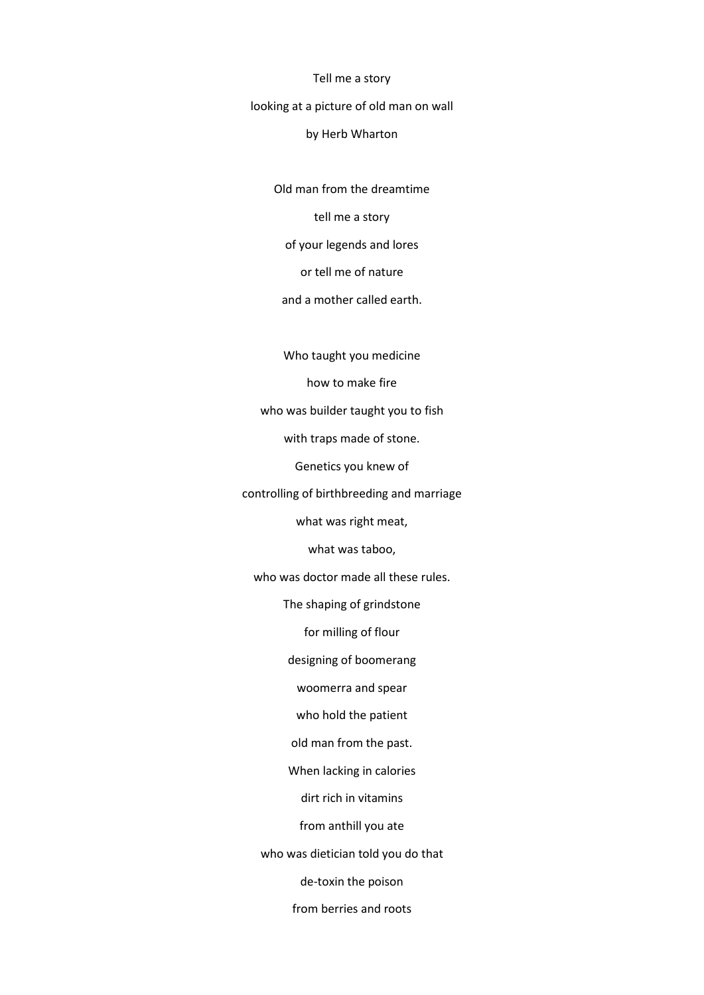Tell me a story

looking at a picture of old man on wall

## by Herb Wharton

Old man from the dreamtime

tell me a story

of your legends and lores

or tell me of nature

and a mother called earth.

Who taught you medicine how to make fire who was builder taught you to fish with traps made of stone. Genetics you knew of controlling of birthbreeding and marriage what was right meat, what was taboo, who was doctor made all these rules. The shaping of grindstone for milling of flour designing of boomerang woomerra and spear who hold the patient old man from the past. When lacking in calories dirt rich in vitamins from anthill you ate who was dietician told you do that de-toxin the poison from berries and roots